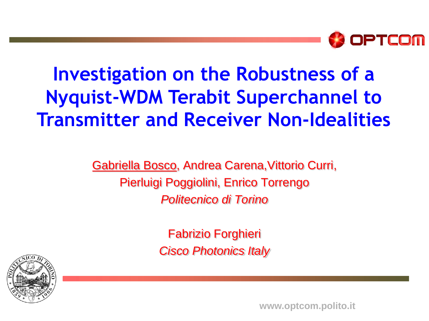

### **Investigation on the Robustness of a Nyquist-WDM Terabit Superchannel to Transmitter and Receiver Non-Idealities**

Gabriella Bosco, Andrea Carena,Vittorio Curri, Pierluigi Poggiolini, Enrico Torrengo *Politecnico di Torino*

> Fabrizio Forghieri *Cisco Photonics Italy*



**FOTONICA 2010 – Paper A2.3 www.optcom.polito.it**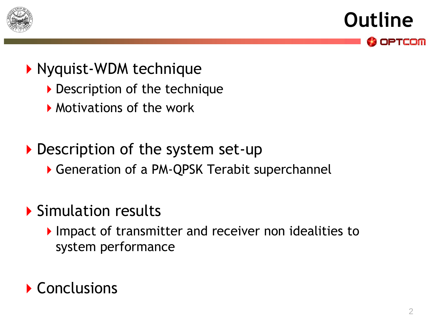

**Outline** OPTCOM

#### ▶ Nyquist-WDM technique

- Description of the technique
- **Motivations of the work**

### Description of the system set-up

Generation of a PM-QPSK Terabit superchannel

### Simulation results

Impact of transmitter and receiver non idealities to system performance

### ▶ Conclusions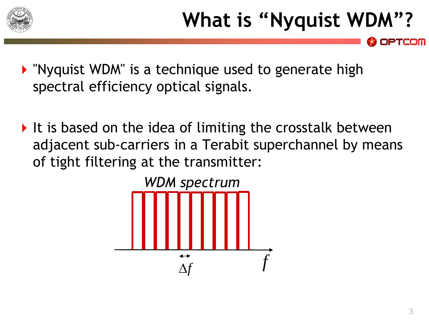

- **Demoglem** Number 19 and the Chrigue used to generate high spectral efficiency optical signals.
- It is based on the idea of limiting the crosstalk between adjacent sub-carriers in a Terabit superchannel by means of tight filtering at the transmitter:

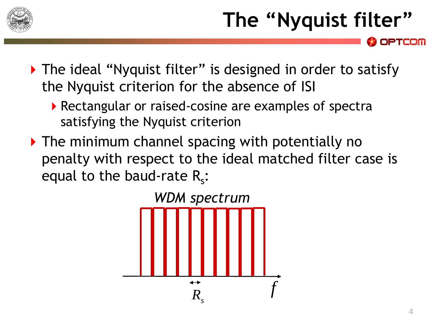

# **The "Nyquist filter"**

▶ The ideal "Nyquist filter" is designed in order to satisfy the Nyquist criterion for the absence of ISI

- ▶ Rectangular or raised-cosine are examples of spectra satisfying the Nyquist criterion
- $\triangleright$  The minimum channel spacing with potentially no penalty with respect to the ideal matched filter case is equal to the baud-rate  $R_s$ :

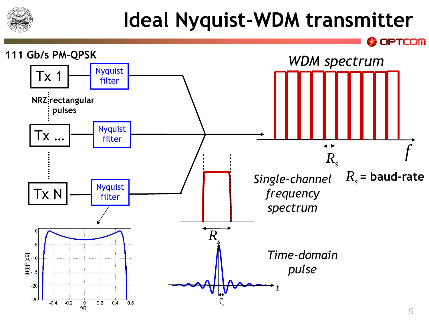

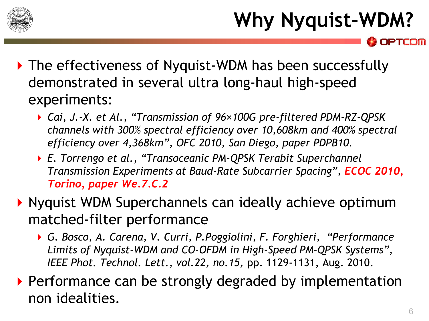

# **Why Nyquist-WDM?**

- ▶ The effectiveness of Nyquist-WDM has been successfully demonstrated in several ultra long-haul high-speed experiments:
	- *Cai, J.-X. et Al., "Transmission of 96×100G pre-filtered PDM-RZ-QPSK channels with 300% spectral efficiency over 10,608km and 400% spectral efficiency over 4,368km", OFC 2010, San Diego, paper PDPB10.*
	- *E. Torrengo et al., "Transoceanic PM-QPSK Terabit Superchannel Transmission Experiments at Baud-Rate Subcarrier Spacing", ECOC 2010, Torino, paper We.7.C.2*
- **Nyquist WDM Superchannels can ideally achieve optimum** matched-filter performance
	- *G. Bosco, A. Carena, V. Curri, P.Poggiolini, F. Forghieri, "Performance Limits of Nyquist-WDM and CO-OFDM in High-Speed PM-QPSK Systems", IEEE Phot. Technol. Lett., vol.22, no.15,* pp. 1129-1131, Aug. 2010.
- Performance can be strongly degraded by implementation non idealities.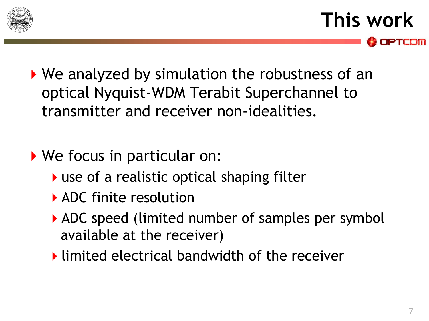

**This work**

- ▶ We analyzed by simulation the robustness of an optical Nyquist-WDM Terabit Superchannel to transmitter and receiver non-idealities.
- We focus in particular on:
	- ▶ use of a realistic optical shaping filter
	- ADC finite resolution
	- ADC speed (limited number of samples per symbol available at the receiver)
	- **I** limited electrical bandwidth of the receiver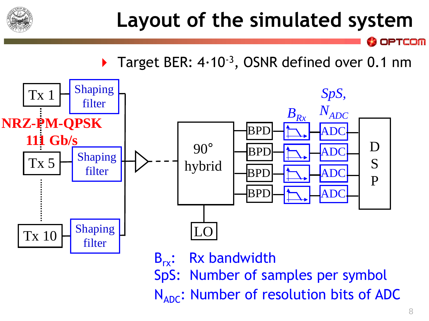

## **Layout of the simulated system**

**OPTCOM** 

▶ Target BER: 4·10<sup>-3</sup>, OSNR defined over 0.1 nm



SpS: Number of samples per symbol

 $N_{ADC}$ : Number of resolution bits of ADC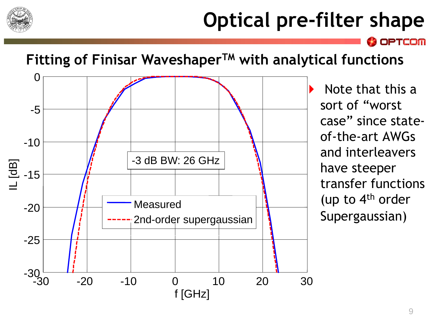

# **Optical pre-filter shape**

**OPTCOM** 

#### **Fitting of Finisar WaveshaperTM with analytical functions**



 Note that this a sort of "worst case" since stateof-the-art AWGs and interleavers have steeper transfer functions (up to 4th order Supergaussian)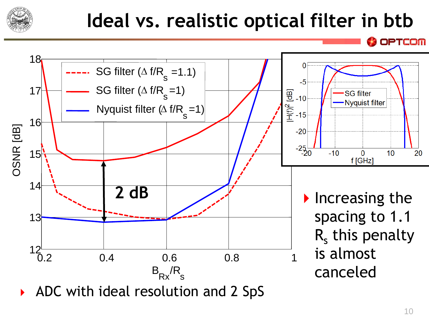

## **Ideal vs. realistic optical filter in btb**



ADC with ideal resolution and 2 SpS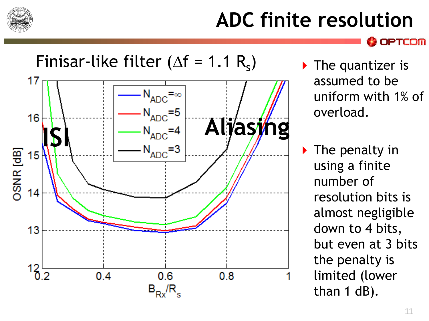

## **ADC finite resolution**



- $\triangleright$  The quantizer is assumed to be uniform with 1% of overload.
- $\triangleright$  The penalty in using a finite number of resolution bits is almost negligible down to 4 bits, but even at 3 bits the penalty is limited (lower than 1 dB).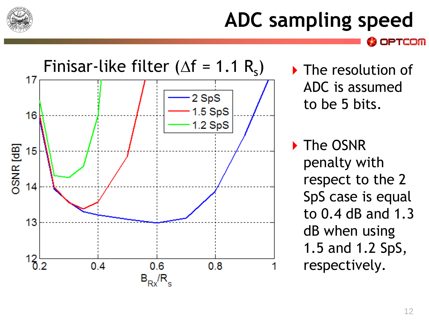

### **ADC sampling speed** PTCOM



▶ The resolution of ADC is assumed to be 5 bits.

▶ The OSNR penalty with respect to the 2 SpS case is equal to 0.4 dB and 1.3 dB when using 1.5 and 1.2 SpS, respectively.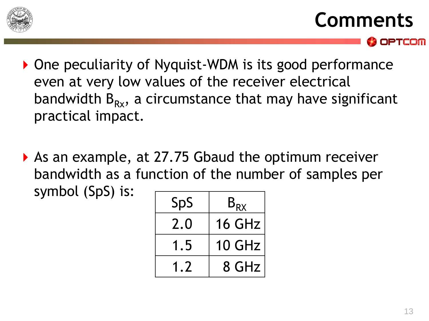

### **Comments**

- ▶ One peculiarity of Nyquist-WDM is its good performance even at very low values of the receiver electrical bandwidth  $B_{Rx}$ , a circumstance that may have significant practical impact.
- ▶ As an example, at 27.75 Gbaud the optimum receiver bandwidth as a function of the number of samples per symbol (SpS) is:

| SpS | $B_{RX}$      |
|-----|---------------|
| 2.0 | 16 GHz        |
| 1.5 | <b>10 GHz</b> |
| 1.7 | 8 GHz         |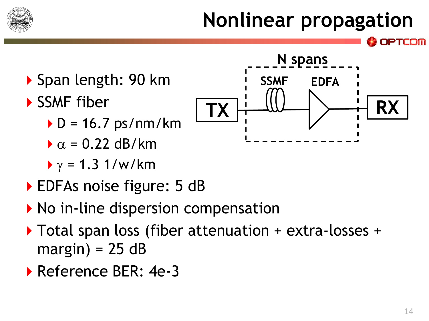

# **Nonlinear propagation**



- SSMF fiber
	- $\blacktriangleright$  D = 16.7 ps/nm/km
	- $\alpha$  = 0.22 dB/km
	- $\gamma$  = 1.3 1/w/km
- ▶ EDFAs noise figure: 5 dB
- $\triangleright$  No in-line dispersion compensation
- ▶ Total span loss (fiber attenuation + extra-losses +  $margin$ ) = 25 dB
- ▶ Reference BER: 4e-3

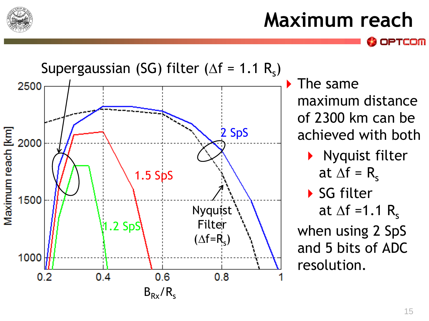

# **Maximum reach**

Supergaussian (SG) filter ( $\Delta f = 1.1 R_s$ ) ▶ The same 2500 maximum distance of 2300 km can be 2 SpS Maximum reach [km] achieved with both 2000 Nyquist filter at  $\Delta f = R_s$ 1.5 SpS ▶ SG filter 1500 Nyquist at  $\Delta f = 1.1$  R<sub>s</sub> Filter  $1.2$  SpS when using 2 SpS  $(\Delta f=R_s)$ and 5 bits of ADC 1000 resolution. $0.2$  $0.4$  $0.6$  $0.8$  $B_{Rx}/R_s$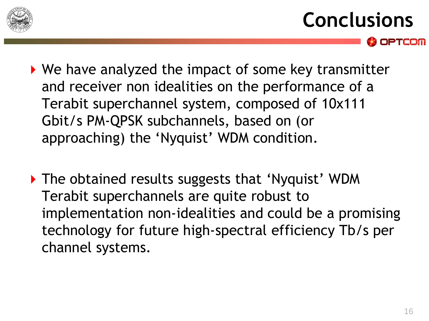

# **Conclusions**

- ▶ We have analyzed the impact of some key transmitter and receiver non idealities on the performance of a Terabit superchannel system, composed of 10x111 Gbit/s PM-QPSK subchannels, based on (or approaching) the 'Nyquist' WDM condition.
- ▶ The obtained results suggests that 'Nyquist' WDM Terabit superchannels are quite robust to implementation non-idealities and could be a promising technology for future high-spectral efficiency Tb/s per channel systems.